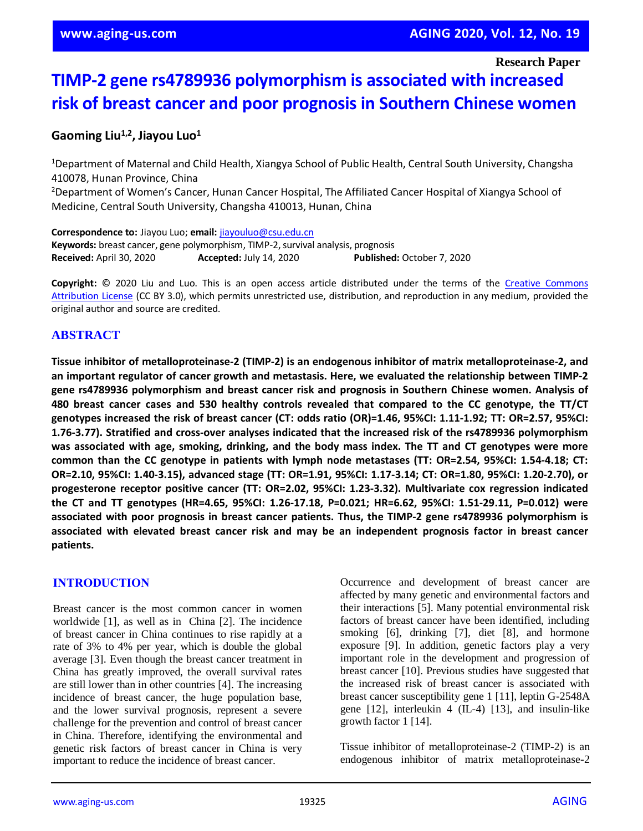**Research Paper**

# **TIMP-2 gene rs4789936 polymorphism is associated with increased risk of breast cancer and poor prognosis in Southern Chinese women**

## **Gaoming Liu1,2, Jiayou Luo<sup>1</sup>**

<sup>1</sup>Department of Maternal and Child Health, Xiangya School of Public Health, Central South University, Changsha 410078, Hunan Province, China

<sup>2</sup>Department of Women's Cancer, Hunan Cancer Hospital, The Affiliated Cancer Hospital of Xiangya School of Medicine, Central South University, Changsha 410013, Hunan, China

**Correspondence to:** Jiayou Luo; **email:** [jiayouluo@csu.edu.cn](mailto:jiayouluo@csu.edu.cn) **Keywords:** breast cancer, gene polymorphism, TIMP-2, survival analysis, prognosis **Received:** April 30, 2020 **Accepted:** July 14, 2020 **Published:** October 7, 2020

**Copyright:** © 2020 Liu and Luo. This is an open access article distributed under the terms of the [Creative Commons](https://creativecommons.org/licenses/by/3.0/)  [Attribution License](https://creativecommons.org/licenses/by/3.0/) (CC BY 3.0), which permits unrestricted use, distribution, and reproduction in any medium, provided the original author and source are credited.

#### **ABSTRACT**

**Tissue inhibitor of metalloproteinase-2 (TIMP-2) is an endogenous inhibitor of matrix metalloproteinase-2, and an important regulator of cancer growth and metastasis. Here, we evaluated the relationship between TIMP-2 gene rs4789936 polymorphism and breast cancer risk and prognosis in Southern Chinese women. Analysis of 480 breast cancer cases and 530 healthy controls revealed that compared to the CC genotype, the TT/CT genotypes increased the risk of breast cancer (CT: odds ratio (OR)=1.46, 95%CI: 1.11-1.92; TT: OR=2.57, 95%CI: 1.76-3.77). Stratified and cross-over analyses indicated that the increased risk of the rs4789936 polymorphism** was associated with age, smoking, drinking, and the body mass index. The TT and CT genotypes were more **common than the CC genotype in patients with lymph node metastases (TT: OR=2.54, 95%CI: 1.54-4.18; CT: OR=2.10, 95%CI: 1.40-3.15), advanced stage (TT: OR=1.91, 95%CI: 1.17-3.14; CT: OR=1.80, 95%CI: 1.20-2.70), or progesterone receptor positive cancer (TT: OR=2.02, 95%CI: 1.23-3.32). Multivariate cox regression indicated the CT and TT genotypes (HR=4.65, 95%CI: 1.26-17.18, P=0.021; HR=6.62, 95%CI: 1.51-29.11, P=0.012) were associated with poor prognosis in breast cancer patients. Thus, the TIMP-2 gene rs4789936 polymorphism is associated with elevated breast cancer risk and may be an independent prognosis factor in breast cancer patients.**

## **INTRODUCTION**

Breast cancer is the most common cancer in women worldwide [1], as well as in China [2]. The incidence of breast cancer in China continues to rise rapidly at a rate of 3% to 4% per year, which is double the global average [3]. Even though the breast cancer treatment in China has greatly improved, the overall survival rates are still lower than in other countries [4]. The increasing incidence of breast cancer, the huge population base, and the lower survival prognosis, represent a severe challenge for the prevention and control of breast cancer in China. Therefore, identifying the environmental and genetic risk factors of breast cancer in China is very important to reduce the incidence of breast cancer.

Occurrence and development of breast cancer are affected by many genetic and environmental factors and their interactions [5]. Many potential environmental risk factors of breast cancer have been identified, including smoking [6], drinking [7], diet [8], and hormone exposure [9]. In addition, genetic factors play a very important role in the development and progression of breast cancer [10]. Previous studies have suggested that the increased risk of breast cancer is associated with breast cancer susceptibility gene 1 [11], leptin G-2548A gene [12], interleukin 4 (IL-4) [13], and insulin-like growth factor 1 [14].

Tissue inhibitor of metalloproteinase-2 (TIMP-2) is an endogenous inhibitor of matrix metalloproteinase-2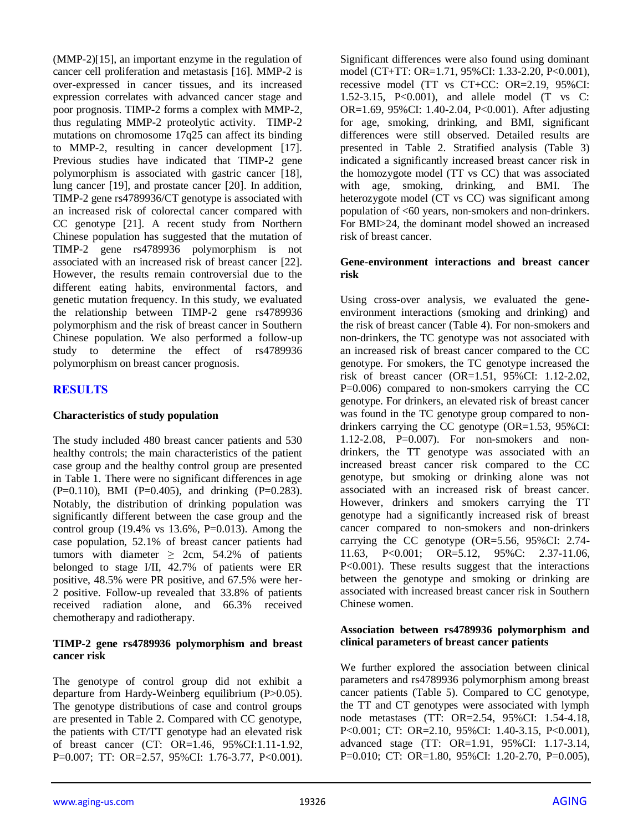(MMP-2)[15], an important enzyme in the regulation of cancer cell proliferation and metastasis [16]. MMP-2 is over-expressed in cancer tissues, and its increased expression correlates with advanced cancer stage and poor prognosis. TIMP-2 forms a complex with MMP-2, thus regulating MMP-2 proteolytic activity. TIMP-2 mutations on chromosome 17q25 can affect its binding to MMP-2, resulting in cancer development [17]. Previous studies have indicated that TIMP-2 gene polymorphism is associated with gastric cancer [18], lung cancer [19], and prostate cancer [20]. In addition, TIMP-2 gene rs4789936/CT genotype is associated with an increased risk of colorectal cancer compared with CC genotype [21]. A recent study from Northern Chinese population has suggested that the mutation of TIMP-2 gene rs4789936 polymorphism is not associated with an increased risk of breast cancer [22]. However, the results remain controversial due to the different eating habits, environmental factors, and genetic mutation frequency. In this study, we evaluated the relationship between TIMP-2 gene rs4789936 polymorphism and the risk of breast cancer in Southern Chinese population. We also performed a follow-up study to determine the effect of rs4789936 polymorphism on breast cancer prognosis.

## **RESULTS**

#### **Characteristics of study population**

The study included 480 breast cancer patients and 530 healthy controls; the main characteristics of the patient case group and the healthy control group are presented in Table 1. There were no significant differences in age  $(P=0.110)$ , BMI  $(P=0.405)$ , and drinking  $(P=0.283)$ . Notably, the distribution of drinking population was significantly different between the case group and the control group (19.4% vs 13.6%, P=0.013). Among the case population, 52.1% of breast cancer patients had tumors with diameter  $\geq$  2cm, 54.2% of patients belonged to stage I/II, 42.7% of patients were ER positive, 48.5% were PR positive, and 67.5% were her-2 positive. Follow-up revealed that 33.8% of patients received radiation alone, and 66.3% received chemotherapy and radiotherapy.

#### **TIMP-2 gene rs4789936 polymorphism and breast cancer risk**

The genotype of control group did not exhibit a departure from Hardy-Weinberg equilibrium (P>0.05). The genotype distributions of case and control groups are presented in Table 2. Compared with CC genotype, the patients with CT/TT genotype had an elevated risk of breast cancer (CT: OR=1.46, 95%CI:1.11-1.92, P=0.007; TT: OR=2.57, 95%CI: 1.76-3.77, P<0.001). Significant differences were also found using dominant model (CT+TT: OR=1.71, 95%CI: 1.33-2.20, P<0.001), recessive model (TT vs CT+CC: OR=2.19, 95%CI: 1.52-3.15, P<0.001), and allele model (T vs C: OR=1.69, 95%CI: 1.40-2.04, P<0.001). After adjusting for age, smoking, drinking, and BMI, significant differences were still observed. Detailed results are presented in Table 2. Stratified analysis (Table 3) indicated a significantly increased breast cancer risk in the homozygote model (TT vs CC) that was associated with age, smoking, drinking, and BMI. The heterozygote model (CT vs CC) was significant among population of <60 years, non-smokers and non-drinkers. For BMI>24, the dominant model showed an increased risk of breast cancer.

#### **Gene-environment interactions and breast cancer risk**

Using cross-over analysis, we evaluated the geneenvironment interactions (smoking and drinking) and the risk of breast cancer (Table 4). For non-smokers and non-drinkers, the TC genotype was not associated with an increased risk of breast cancer compared to the CC genotype. For smokers, the TC genotype increased the risk of breast cancer (OR=1.51, 95%CI: 1.12-2.02, P=0.006) compared to non-smokers carrying the CC genotype. For drinkers, an elevated risk of breast cancer was found in the TC genotype group compared to nondrinkers carrying the CC genotype (OR=1.53, 95%CI: 1.12-2.08, P=0.007). For non-smokers and nondrinkers, the TT genotype was associated with an increased breast cancer risk compared to the CC genotype, but smoking or drinking alone was not associated with an increased risk of breast cancer. However, drinkers and smokers carrying the TT genotype had a significantly increased risk of breast cancer compared to non-smokers and non-drinkers carrying the CC genotype (OR=5.56, 95%CI: 2.74- 11.63, P<0.001; OR=5.12, 95%C: 2.37-11.06, P<0.001). These results suggest that the interactions between the genotype and smoking or drinking are associated with increased breast cancer risk in Southern Chinese women.

#### **Association between rs4789936 polymorphism and clinical parameters of breast cancer patients**

We further explored the association between clinical parameters and rs4789936 polymorphism among breast cancer patients (Table 5). Compared to CC genotype, the TT and CT genotypes were associated with lymph node metastases (TT: OR=2.54, 95%CI: 1.54-4.18, P<0.001; CT: OR=2.10, 95%CI: 1.40-3.15, P<0.001), advanced stage (TT: OR=1.91, 95%CI: 1.17-3.14, P=0.010; CT: OR=1.80, 95%CI: 1.20-2.70, P=0.005),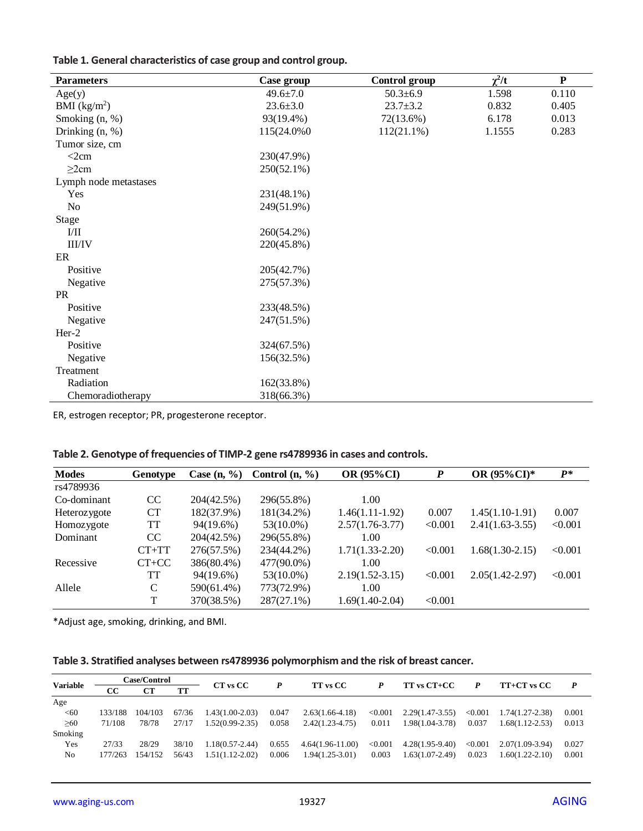| Table 1. General characteristics of case group and control group. |  |  |  |  |  |  |  |  |
|-------------------------------------------------------------------|--|--|--|--|--|--|--|--|
|-------------------------------------------------------------------|--|--|--|--|--|--|--|--|

| <b>Parameters</b>     | Case group     | Control group  | $\chi^2/t$ | ${\bf P}$ |
|-----------------------|----------------|----------------|------------|-----------|
| Age(y)                | $49.6 \pm 7.0$ | $50.3 \pm 6.9$ | 1.598      | 0.110     |
| BMI $(kg/m2)$         | $23.6 \pm 3.0$ | $23.7 \pm 3.2$ | 0.832      | 0.405     |
| Smoking (n, %)        | 93(19.4%)      | 72(13.6%)      | 6.178      | 0.013     |
| Drinking (n, %)       | 115(24.0%0)    | $112(21.1\%)$  | 1.1555     | 0.283     |
| Tumor size, cm        |                |                |            |           |
| $<$ 2 $cm$            | 230(47.9%)     |                |            |           |
| $\geq$ 2cm            | 250(52.1%)     |                |            |           |
| Lymph node metastases |                |                |            |           |
| Yes                   | 231(48.1%)     |                |            |           |
| No                    | 249(51.9%)     |                |            |           |
| <b>Stage</b>          |                |                |            |           |
| I/II                  | 260(54.2%)     |                |            |           |
| <b>III/IV</b>         | 220(45.8%)     |                |            |           |
| ER                    |                |                |            |           |
| Positive              | 205(42.7%)     |                |            |           |
| Negative              | 275(57.3%)     |                |            |           |
| <b>PR</b>             |                |                |            |           |
| Positive              | 233(48.5%)     |                |            |           |
| Negative              | 247(51.5%)     |                |            |           |
| $Her-2$               |                |                |            |           |
| Positive              | 324(67.5%)     |                |            |           |
| Negative              | 156(32.5%)     |                |            |           |
| Treatment             |                |                |            |           |
| Radiation             | 162(33.8%)     |                |            |           |
| Chemoradiotherapy     | 318(66.3%)     |                |            |           |

ER, estrogen receptor; PR, progesterone receptor.

| <b>Modes</b> | Genotype      | Case $(n, \frac{9}{6})$ | Control $(n, %)$ | OR (95%CI)          | P       | OR (95%CI)*         | $P^*$   |
|--------------|---------------|-------------------------|------------------|---------------------|---------|---------------------|---------|
| rs4789936    |               |                         |                  |                     |         |                     |         |
| Co-dominant  | <sub>CC</sub> | 204(42.5%)              | 296(55.8%)       | 1.00                |         |                     |         |
| Heterozygote | <b>CT</b>     | 182(37.9%)              | 181(34.2%)       | $1.46(1.11-1.92)$   | 0.007   | $1.45(1.10-1.91)$   | 0.007   |
| Homozygote   | TT            | 94(19.6%)               | $53(10.0\%)$     | $2.57(1.76-3.77)$   | < 0.001 | $2.41(1.63-3.55)$   | < 0.001 |
| Dominant     | CC            | 204(42.5%)              | 296(55.8%)       | 1.00                |         |                     |         |
|              | $CT+TT$       | 276(57.5%)              | 234(44.2%)       | $1.71(1.33-2.20)$   | < 0.001 | $1.68(1.30-2.15)$   | < 0.001 |
| Recessive    | $CT+CC$       | 386(80.4%)              | 477(90.0%)       | 1.00                |         |                     |         |
|              | TT            | 94(19.6%)               | $53(10.0\%)$     | $2.19(1.52 - 3.15)$ | < 0.001 | $2.05(1.42 - 2.97)$ | < 0.001 |
| Allele       | C             | 590(61.4%)              | 773(72.9%)       | 1.00                |         |                     |         |
|              | T             | 370(38.5%)              | $287(27.1\%)$    | $1.69(1.40-2.04)$   | < 0.001 |                     |         |

|  |  |  |  |  | Table 2. Genotype of frequencies of TIMP-2 gene rs4789936 in cases and controls. |
|--|--|--|--|--|----------------------------------------------------------------------------------|
|--|--|--|--|--|----------------------------------------------------------------------------------|

\*Adjust age, smoking, drinking, and BMI.

| Table 3. Stratified analyses between rs4789936 polymorphism and the risk of breast cancer. |  |  |
|--------------------------------------------------------------------------------------------|--|--|
|--------------------------------------------------------------------------------------------|--|--|

|                 |         | <b>Case/Control</b> |           |                     |       |                    |         |                   |         |                     |                  |
|-----------------|---------|---------------------|-----------|---------------------|-------|--------------------|---------|-------------------|---------|---------------------|------------------|
| <b>Variable</b> | CC.     | <b>CT</b>           | <b>TT</b> | CT vs CC            |       | <b>TT</b> vs CC    | P       | TT vs CT+CC       | P       | TT+CT vs CC         | $\boldsymbol{P}$ |
| Age             |         |                     |           |                     |       |                    |         |                   |         |                     |                  |
| < 60            | 133/188 | 104/103             | 67/36     | $1.43(1.00-2.03)$   | 0.047 | $2.63(1.66-4.18)$  | < 0.001 | $2.29(1.47-3.55)$ | < 0.001 | 1.74(1.27-2.38)     | 0.001            |
| $\geq 60$       | 71/108  | 78/78               | 27/17     | $1.52(0.99-2.35)$   | 0.058 | $2.42(1.23-4.75)$  | 0.011   | 1.98(1.04-3.78)   | 0.037   | $1.68(1.12 - 2.53)$ | 0.013            |
| Smoking         |         |                     |           |                     |       |                    |         |                   |         |                     |                  |
| Yes             | 27/33   | 28/29               | 38/10     | $1.18(0.57 - 2.44)$ | 0.655 | $4.64(1.96-11.00)$ | < 0.001 | $4.28(1.95-9.40)$ | < 0.001 | $2.07(1.09-3.94)$   | 0.027            |
| N <sub>0</sub>  | 177/263 | 154/152             | 56/43     | $1.51(1.12-2.02)$   | 0.006 | $1.94(1.25-3.01)$  | 0.003   | $1.63(1.07-2.49)$ | 0.023   | $1.60(1.22 - 2.10)$ | 0.001            |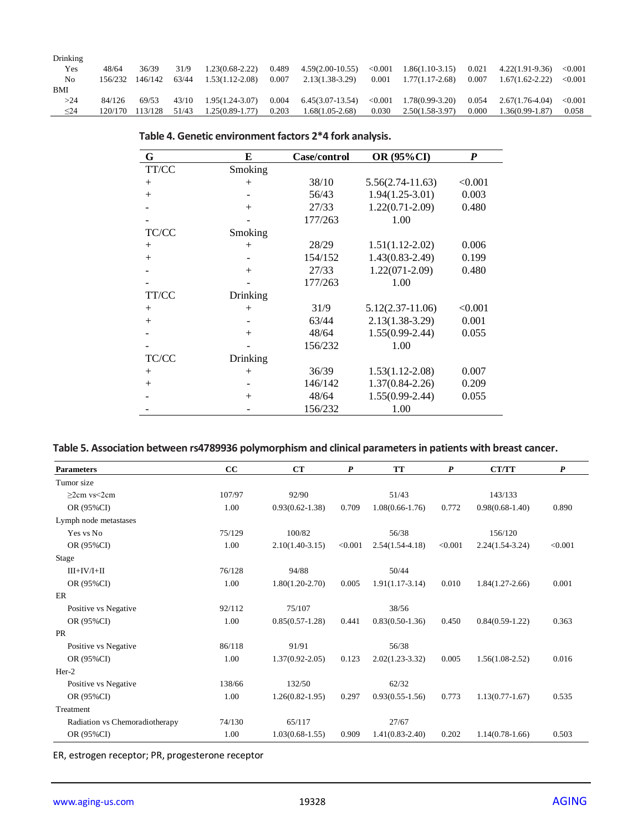| Drinking       |         |         |       |                     |       |                    |            |                   |       |                     |         |
|----------------|---------|---------|-------|---------------------|-------|--------------------|------------|-------------------|-------|---------------------|---------|
| Yes            | 48/64   | 36/39   | 31/9  | $1.23(0.68-2.22)$   | 0.489 | $4.59(2.00-10.55)$ | < 0.001    | $1.86(1.10-3.15)$ | 0.021 | $4.22(1.91 - 9.36)$ | < 0.001 |
| N <sub>0</sub> | 156/232 | 146/142 | 63/44 | $1.53(1.12 - 2.08)$ | 0.007 | $2.13(1.38-3.29)$  | 0.001      | $1.77(1.17-2.68)$ | 0.007 | $1.67(1.62 - 2.22)$ | < 0.001 |
| BMI            |         |         |       |                     |       |                    |            |                   |       |                     |         |
| >24            | 84/126  | 69/53   | 43/10 | $1.95(1.24 - 3.07)$ | 0.004 | $6.45(3.07-13.54)$ | ${<}0.001$ | 1.78(0.99-3.20)   | 0.054 | 2.67(1.76-4.04)     | < 0.001 |
| $\leq$ 24      | 120/170 | 113/128 | 51/43 | $1.25(0.89-1.77)$   | 0.203 | $1.68(1.05-2.68)$  | 0.030      | $2.50(1.58-3.97)$ | 0.000 | $1.36(0.99 - 1.87)$ | 0.058   |

| G      | E        | Case/control | OR (95%CI)          | P       |
|--------|----------|--------------|---------------------|---------|
| TT/CC  | Smoking  |              |                     |         |
| $+$    | $^{+}$   | 38/10        | $5.56(2.74-11.63)$  | < 0.001 |
| $+$    |          | 56/43        | $1.94(1.25-3.01)$   | 0.003   |
|        | $^{+}$   | 27/33        | $1.22(0.71 - 2.09)$ | 0.480   |
|        |          | 177/263      | 1.00                |         |
| TC/CC  | Smoking  |              |                     |         |
| $+$    | $^{+}$   | 28/29        | $1.51(1.12-2.02)$   | 0.006   |
| $+$    |          | 154/152      | $1.43(0.83 - 2.49)$ | 0.199   |
|        | $^{+}$   | 27/33        | $1.22(071-2.09)$    | 0.480   |
|        |          | 177/263      | 1.00                |         |
| TT/CC  | Drinking |              |                     |         |
| $^{+}$ | $^{+}$   | 31/9         | $5.12(2.37-11.06)$  | < 0.001 |
| $+$    |          | 63/44        | $2.13(1.38-3.29)$   | 0.001   |
|        | $+$      | 48/64        | $1.55(0.99-2.44)$   | 0.055   |
|        |          | 156/232      | 1.00                |         |
| TC/CC  | Drinking |              |                     |         |
| $+$    | $^{+}$   | 36/39        | $1.53(1.12 - 2.08)$ | 0.007   |
| $+$    |          | 146/142      | $1.37(0.84 - 2.26)$ | 0.209   |
|        | $^{+}$   | 48/64        | $1.55(0.99 - 2.44)$ | 0.055   |
|        |          | 156/232      | 1.00                |         |

## **Table 4. Genetic environment factors 2\*4 fork analysis.**

# **Table 5. Association between rs4789936 polymorphism and clinical parameters in patients with breast cancer.**

| <b>Parameters</b>              | cc     | CT                  | $\boldsymbol{P}$ | <b>TT</b>           | $\boldsymbol{P}$ | <b>CT/TT</b>        | $\boldsymbol{P}$ |
|--------------------------------|--------|---------------------|------------------|---------------------|------------------|---------------------|------------------|
| Tumor size                     |        |                     |                  |                     |                  |                     |                  |
| $>2$ cm vs $<2$ cm             | 107/97 | 92/90               |                  | 51/43               |                  | 143/133             |                  |
| OR (95%CI)                     | 1.00   | $0.93(0.62 - 1.38)$ | 0.709            | $1.08(0.66 - 1.76)$ | 0.772            | $0.98(0.68-1.40)$   | 0.890            |
| Lymph node metastases          |        |                     |                  |                     |                  |                     |                  |
| Yes vs No                      | 75/129 | 100/82              |                  | 56/38               |                  | 156/120             |                  |
| OR (95%CI)                     | 1.00   | $2.10(1.40-3.15)$   | < 0.001          | $2.54(1.54-4.18)$   | < 0.001          | $2.24(1.54-3.24)$   | < 0.001          |
| Stage                          |        |                     |                  |                     |                  |                     |                  |
| $III+IV/I+II$                  | 76/128 | 94/88               |                  | 50/44               |                  |                     |                  |
| OR (95%CI)                     | 1.00   | $1.80(1.20-2.70)$   | 0.005            | $1.91(1.17-3.14)$   | 0.010            | $1.84(1.27-2.66)$   | 0.001            |
| ER                             |        |                     |                  |                     |                  |                     |                  |
| Positive vs Negative           | 92/112 | 75/107              |                  | 38/56               |                  |                     |                  |
| OR (95%CI)                     | 1.00   | $0.85(0.57-1.28)$   | 0.441            | $0.83(0.50-1.36)$   | 0.450            | $0.84(0.59-1.22)$   | 0.363            |
| <b>PR</b>                      |        |                     |                  |                     |                  |                     |                  |
| Positive vs Negative           | 86/118 | 91/91               |                  | 56/38               |                  |                     |                  |
| OR (95%CI)                     | 1.00   | $1.37(0.92 - 2.05)$ | 0.123            | $2.02(1.23-3.32)$   | 0.005            | $1.56(1.08-2.52)$   | 0.016            |
| $Her-2$                        |        |                     |                  |                     |                  |                     |                  |
| Positive vs Negative           | 138/66 | 132/50              |                  | 62/32               |                  |                     |                  |
| OR (95%CI)                     | 1.00   | $1.26(0.82 - 1.95)$ | 0.297            | $0.93(0.55 - 1.56)$ | 0.773            | $1.13(0.77 - 1.67)$ | 0.535            |
| Treatment                      |        |                     |                  |                     |                  |                     |                  |
| Radiation vs Chemoradiotherapy | 74/130 | 65/117              |                  | 27/67               |                  |                     |                  |
| OR (95%CI)                     | 1.00   | $1.03(0.68-1.55)$   | 0.909            | $1.41(0.83 - 2.40)$ | 0.202            | $1.14(0.78-1.66)$   | 0.503            |

ER, estrogen receptor; PR, progesterone receptor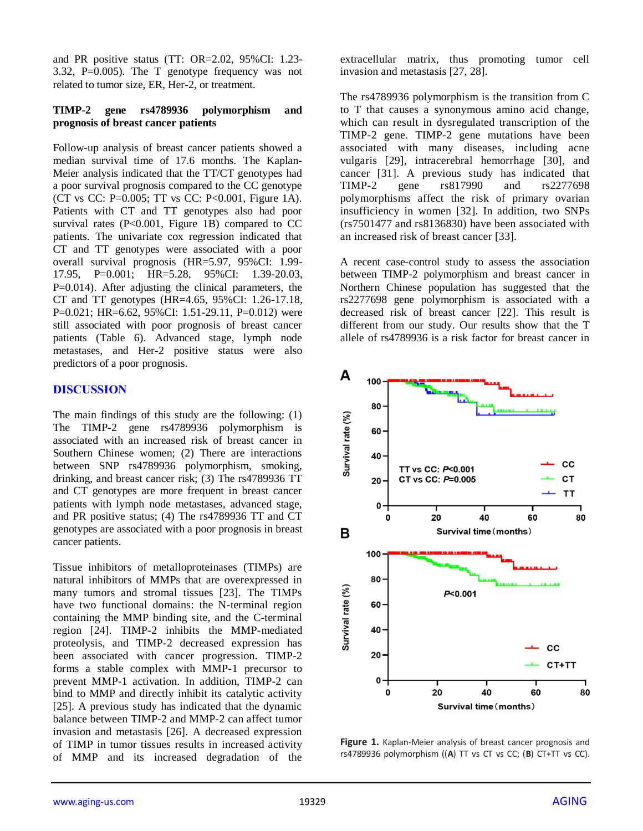and PR positive status (TT: OR=2.02, 95%CI: 1.23- 3.32, P=0.005). The T genotype frequency was not related to tumor size, ER, Her-2, or treatment.

#### **TIMP-2 gene rs4789936 polymorphism and prognosis of breast cancer patients**

Follow-up analysis of breast cancer patients showed a median survival time of 17.6 months. The Kaplan-Meier analysis indicated that the TT/CT genotypes had a poor survival prognosis compared to the CC genotype (CT vs CC: P=0.005; TT vs CC: P<0.001, Figure 1A). Patients with CT and TT genotypes also had poor survival rates  $(P<0.001$ , Figure 1B) compared to CC patients. The univariate cox regression indicated that CT and TT genotypes were associated with a poor overall survival prognosis (HR=5.97, 95%CI: 1.99- 17.95, P=0.001; HR=5.28, 95%CI: 1.39-20.03, P=0.014). After adjusting the clinical parameters, the CT and TT genotypes (HR=4.65, 95%CI: 1.26-17.18, P=0.021; HR=6.62, 95%CI: 1.51-29.11, P=0.012) were still associated with poor prognosis of breast cancer patients (Table 6). Advanced stage, lymph node metastases, and Her-2 positive status were also predictors of a poor prognosis.

## **DISCUSSION**

The main findings of this study are the following: (1) The TIMP-2 gene rs4789936 polymorphism is associated with an increased risk of breast cancer in Southern Chinese women; (2) There are interactions between SNP rs4789936 polymorphism, smoking, drinking, and breast cancer risk; (3) The rs4789936 TT and CT genotypes are more frequent in breast cancer patients with lymph node metastases, advanced stage, and PR positive status; (4) The rs4789936 TT and CT genotypes are associated with a poor prognosis in breast cancer patients.

Tissue inhibitors of metalloproteinases (TIMPs) are natural inhibitors of MMPs that are overexpressed in many tumors and stromal tissues [23]. The TIMPs have two functional domains: the N-terminal region containing the MMP binding site, and the C-terminal region [24]. TIMP-2 inhibits the MMP-mediated proteolysis, and TIMP-2 decreased expression has been associated with cancer progression. TIMP-2 forms a stable complex with MMP-1 precursor to prevent MMP-1 activation. In addition, TIMP-2 can bind to MMP and directly inhibit its catalytic activity [25]. A previous study has indicated that the dynamic balance between TIMP-2 and MMP-2 can affect tumor invasion and metastasis [26]. A decreased expression of TIMP in tumor tissues results in increased activity of MMP and its increased degradation of the

extracellular matrix, thus promoting tumor cell invasion and metastasis [27, 28].

The rs4789936 polymorphism is the transition from C to T that causes a synonymous amino acid change, which can result in dysregulated transcription of the TIMP-2 gene. TIMP-2 gene mutations have been associated with many diseases, including acne vulgaris [29], intracerebral hemorrhage [30], and cancer [31]. A previous study has indicated that TIMP-2 gene rs817990 and rs2277698 polymorphisms affect the risk of primary ovarian insufficiency in women [32]. In addition, two SNPs (rs7501477 and rs8136830) have been associated with an increased risk of breast cancer [33].

A recent case-control study to assess the association between TIMP-2 polymorphism and breast cancer in Northern Chinese population has suggested that the rs2277698 gene polymorphism is associated with a decreased risk of breast cancer [22]. This result is different from our study. Our results show that the T allele of rs4789936 is a risk factor for breast cancer in



**Figure 1.** Kaplan-Meier analysis of breast cancer prognosis and rs4789936 polymorphism ((**A**) TT vs CT vs CC; (**B**) CT+TT vs CC).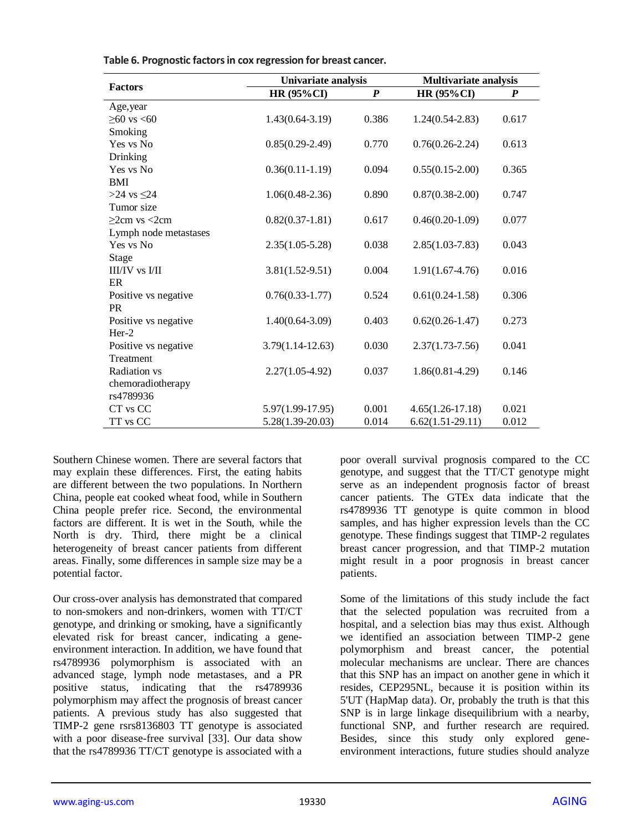|                       | Univariate analysis  |                  | <b>Multivariate analysis</b> |       |  |
|-----------------------|----------------------|------------------|------------------------------|-------|--|
| <b>Factors</b>        | <b>HR (95%CI)</b>    | $\boldsymbol{P}$ | <b>HR (95%CI)</b>            | P     |  |
| Age, year             |                      |                  |                              |       |  |
| $≥60$ vs <60          | $1.43(0.64 - 3.19)$  | 0.386            | $1.24(0.54 - 2.83)$          | 0.617 |  |
| Smoking               |                      |                  |                              |       |  |
| Yes vs No             | $0.85(0.29-2.49)$    | 0.770            | $0.76(0.26-2.24)$            | 0.613 |  |
| Drinking              |                      |                  |                              |       |  |
| Yes vs No             | $0.36(0.11-1.19)$    | 0.094            | $0.55(0.15-2.00)$            | 0.365 |  |
| BMI                   |                      |                  |                              |       |  |
| >24 vs $\leq$ 24      | $1.06(0.48-2.36)$    | 0.890            | $0.87(0.38-2.00)$            | 0.747 |  |
| Tumor size            |                      |                  |                              |       |  |
| $>2cm$ vs $<2cm$      | $0.82(0.37-1.81)$    | 0.617            | $0.46(0.20-1.09)$            | 0.077 |  |
| Lymph node metastases |                      |                  |                              |       |  |
| Yes vs No             | $2.35(1.05-5.28)$    | 0.038            | $2.85(1.03 - 7.83)$          | 0.043 |  |
| Stage                 |                      |                  |                              |       |  |
| $II/IV$ vs $I/II$     | $3.81(1.52 - 9.51)$  | 0.004            | $1.91(1.67-4.76)$            | 0.016 |  |
| ER                    |                      |                  |                              |       |  |
| Positive vs negative  | $0.76(0.33-1.77)$    | 0.524            | $0.61(0.24-1.58)$            | 0.306 |  |
| <b>PR</b>             |                      |                  |                              |       |  |
| Positive vs negative  | $1.40(0.64 - 3.09)$  | 0.403            | $0.62(0.26 - 1.47)$          | 0.273 |  |
| $Her-2$               |                      |                  |                              |       |  |
| Positive vs negative  | $3.79(1.14 - 12.63)$ | 0.030            | $2.37(1.73 - 7.56)$          | 0.041 |  |
| Treatment             |                      |                  |                              |       |  |
| Radiation vs          | $2.27(1.05-4.92)$    | 0.037            | $1.86(0.81 - 4.29)$          | 0.146 |  |
| chemoradiotherapy     |                      |                  |                              |       |  |
| rs4789936             |                      |                  |                              |       |  |
| CT vs CC              | 5.97(1.99-17.95)     | 0.001            | $4.65(1.26 - 17.18)$         | 0.021 |  |
| TT vs CC              | $5.28(1.39-20.03)$   | 0.014            | $6.62(1.51-29.11)$           | 0.012 |  |

**Table 6. Prognostic factors in cox regression for breast cancer.**

Southern Chinese women. There are several factors that may explain these differences. First, the eating habits are different between the two populations. In Northern China, people eat cooked wheat food, while in Southern China people prefer rice. Second, the environmental factors are different. It is wet in the South, while the North is dry. Third, there might be a clinical heterogeneity of breast cancer patients from different areas. Finally, some differences in sample size may be a potential factor.

Our cross-over analysis has demonstrated that compared to non-smokers and non-drinkers, women with TT/CT genotype, and drinking or smoking, have a significantly elevated risk for breast cancer, indicating a geneenvironment interaction. In addition, we have found that rs4789936 polymorphism is associated with an advanced stage, lymph node metastases, and a PR positive status, indicating that the rs4789936 polymorphism may affect the prognosis of breast cancer patients. A previous study has also suggested that TIMP-2 gene rsrs8136803 TT genotype is associated with a poor disease-free survival [33]. Our data show that the rs4789936 TT/CT genotype is associated with a

poor overall survival prognosis compared to the CC genotype, and suggest that the TT/CT genotype might serve as an independent prognosis factor of breast cancer patients. The GTEx data indicate that the rs4789936 TT genotype is quite common in blood samples, and has higher expression levels than the CC genotype. These findings suggest that TIMP-2 regulates breast cancer progression, and that TIMP-2 mutation might result in a poor prognosis in breast cancer patients.

Some of the limitations of this study include the fact that the selected population was recruited from a hospital, and a selection bias may thus exist. Although we identified an association between TIMP-2 gene polymorphism and breast cancer, the potential molecular mechanisms are unclear. There are chances that this SNP has an impact on another gene in which it resides, CEP295NL, because it is position within its 5'UT (HapMap data). Or, probably the truth is that this SNP is in large linkage disequilibrium with a nearby, functional SNP, and further research are required. Besides, since this study only explored geneenvironment interactions, future studies should analyze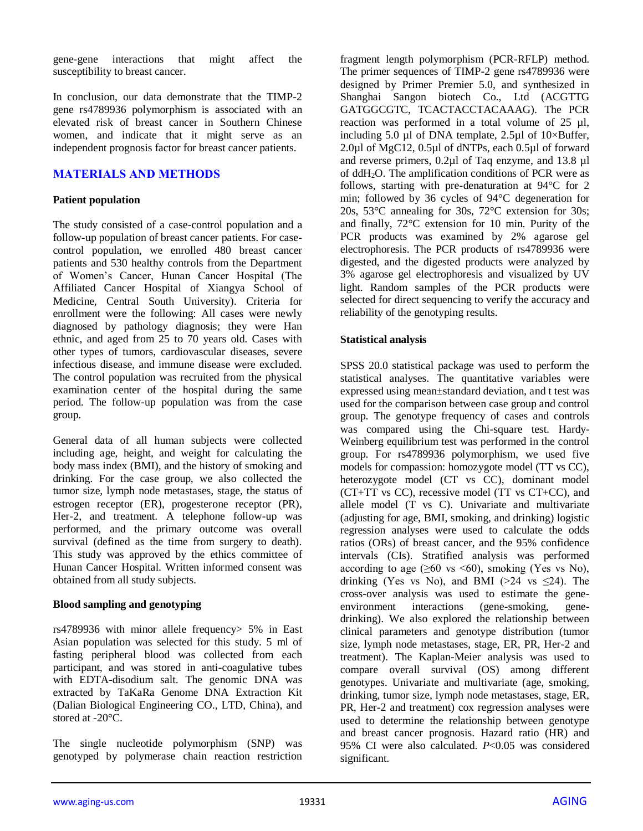gene-gene interactions that might affect the susceptibility to breast cancer.

In conclusion, our data demonstrate that the TIMP-2 gene rs4789936 polymorphism is associated with an elevated risk of breast cancer in Southern Chinese women, and indicate that it might serve as an independent prognosis factor for breast cancer patients.

## **MATERIALS AND METHODS**

### **Patient population**

The study consisted of a case-control population and a follow-up population of breast cancer patients. For casecontrol population, we enrolled 480 breast cancer patients and 530 healthy controls from the Department of Women's Cancer, Hunan Cancer Hospital (The Affiliated Cancer Hospital of Xiangya School of Medicine, Central South University). Criteria for enrollment were the following: All cases were newly diagnosed by pathology diagnosis; they were Han ethnic, and aged from 25 to 70 years old. Cases with other types of tumors, cardiovascular diseases, severe infectious disease, and immune disease were excluded. The control population was recruited from the physical examination center of the hospital during the same period. The follow-up population was from the case group.

General data of all human subjects were collected including age, height, and weight for calculating the body mass index (BMI), and the history of smoking and drinking. For the case group, we also collected the tumor size, lymph node metastases, stage, the status of estrogen receptor (ER), progesterone receptor (PR), Her-2, and treatment. A telephone follow-up was performed, and the primary outcome was overall survival (defined as the time from surgery to death). This study was approved by the ethics committee of Hunan Cancer Hospital. Written informed consent was obtained from all study subjects.

#### **Blood sampling and genotyping**

rs4789936 with minor allele frequency> 5% in East Asian population was selected for this study. 5 ml of fasting peripheral blood was collected from each participant, and was stored in anti-coagulative tubes with EDTA-disodium salt. The genomic DNA was extracted by TaKaRa Genome DNA Extraction Kit (Dalian Biological Engineering CO., LTD, China), and stored at -20°C.

The single nucleotide polymorphism (SNP) was genotyped by polymerase chain reaction restriction fragment length polymorphism (PCR-RFLP) method. The primer sequences of TIMP-2 gene rs4789936 were designed by Primer Premier 5.0, and synthesized in Shanghai Sangon biotech Co., Ltd (ACGTTG GATGGCGTC, TCACTACCTACAAAG). The PCR reaction was performed in a total volume of 25 µl, including 5.0  $\mu$ l of DNA template, 2.5 $\mu$ l of 10×Buffer, 2.0µl of MgC12, 0.5µl of dNTPs, each 0.5µl of forward and reverse primers, 0.2µl of Taq enzyme, and 13.8 µl of  $ddH<sub>2</sub>O$ . The amplification conditions of PCR were as follows, starting with pre-denaturation at 94°C for 2 min; followed by 36 cycles of 94°C degeneration for 20s, 53°C annealing for 30s, 72°C extension for 30s; and finally, 72°C extension for 10 min. Purity of the PCR products was examined by 2% agarose gel electrophoresis. The PCR products of rs4789936 were digested, and the digested products were analyzed by 3% agarose gel electrophoresis and visualized by UV light. Random samples of the PCR products were selected for direct sequencing to verify the accuracy and reliability of the genotyping results.

### **Statistical analysis**

SPSS 20.0 statistical package was used to perform the statistical analyses. The quantitative variables were expressed using mean±standard deviation, and t test was used for the comparison between case group and control group. The genotype frequency of cases and controls was compared using the Chi-square test. Hardy-Weinberg equilibrium test was performed in the control group. For rs4789936 polymorphism, we used five models for compassion: homozygote model (TT vs CC), heterozygote model (CT vs CC), dominant model (CT+TT vs CC), recessive model (TT vs CT+CC), and allele model (T vs C). Univariate and multivariate (adjusting for age, BMI, smoking, and drinking) logistic regression analyses were used to calculate the odds ratios (ORs) of breast cancer, and the 95% confidence intervals (CIs). Stratified analysis was performed according to age  $(\geq 60 \text{ vs } \leq 60)$ , smoking (Yes vs No), drinking (Yes vs No), and BMI ( $>24$  vs  $\leq 24$ ). The cross-over analysis was used to estimate the geneenvironment interactions (gene-smoking, genedrinking). We also explored the relationship between clinical parameters and genotype distribution (tumor size, lymph node metastases, stage, ER, PR, Her-2 and treatment). The Kaplan-Meier analysis was used to compare overall survival (OS) among different genotypes. Univariate and multivariate (age, smoking, drinking, tumor size, lymph node metastases, stage, ER, PR, Her-2 and treatment) cox regression analyses were used to determine the relationship between genotype and breast cancer prognosis. Hazard ratio (HR) and 95% CI were also calculated. *P*<0.05 was considered significant.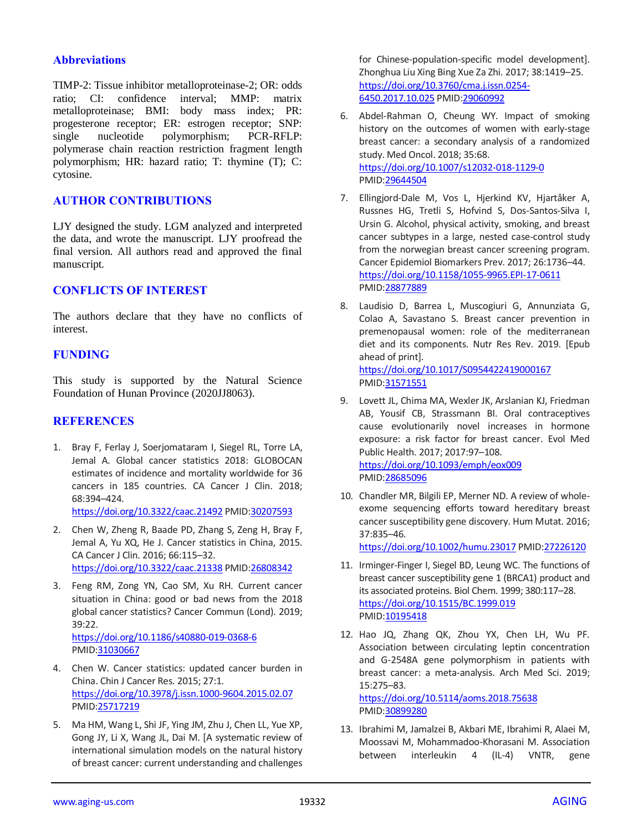#### **Abbreviations**

TIMP-2: Tissue inhibitor metalloproteinase-2; OR: odds ratio; CI: confidence interval; MMP: matrix metalloproteinase; BMI: body mass index; PR: progesterone receptor; ER: estrogen receptor; SNP: single nucleotide polymorphism; PCR-RFLP: polymerase chain reaction restriction fragment length polymorphism; HR: hazard ratio; T: thymine (T); C: cytosine.

## **AUTHOR CONTRIBUTIONS**

LJY designed the study. LGM analyzed and interpreted the data, and wrote the manuscript. LJY proofread the final version. All authors read and approved the final manuscript.

## **CONFLICTS OF INTEREST**

The authors declare that they have no conflicts of interest.

## **FUNDING**

This study is supported by the Natural Science Foundation of Hunan Province (2020JJ8063).

#### **REFERENCES**

1. Bray F, Ferlay J, Soerjomataram I, Siegel RL, Torre LA, Jemal A. Global cancer statistics 2018: GLOBOCAN estimates of incidence and mortality worldwide for 36 cancers in 185 countries. CA Cancer J Clin. 2018; 68:394–424.

<https://doi.org/10.3322/caac.21492> PMI[D:30207593](https://pubmed.ncbi.nlm.nih.gov/30207593)

- 2. Chen W, Zheng R, Baade PD, Zhang S, Zeng H, Bray F, Jemal A, Yu XQ, He J. Cancer statistics in China, 2015. CA Cancer J Clin. 2016; 66:115–32. <https://doi.org/10.3322/caac.21338> PMI[D:26808342](https://pubmed.ncbi.nlm.nih.gov/26808342)
- 3. Feng RM, Zong YN, Cao SM, Xu RH. Current cancer situation in China: good or bad news from the 2018 global cancer statistics? Cancer Commun (Lond). 2019; 39:22. <https://doi.org/10.1186/s40880-019-0368-6> PMID[:31030667](https://pubmed.ncbi.nlm.nih.gov/31030667)
- 4. Chen W. Cancer statistics: updated cancer burden in China. Chin J Cancer Res. 2015; 27:1. <https://doi.org/10.3978/j.issn.1000-9604.2015.02.07> PMID[:25717219](https://pubmed.ncbi.nlm.nih.gov/25717219)
- 5. Ma HM, Wang L, Shi JF, Ying JM, Zhu J, Chen LL, Yue XP, Gong JY, Li X, Wang JL, Dai M. [A systematic review of international simulation models on the natural history of breast cancer: current understanding and challenges

for Chinese-population-specific model development]. Zhonghua Liu Xing Bing Xue Za Zhi. 2017; 38:1419–25. [https://doi.org/10.3760/cma.j.issn.0254-](https://doi.org/10.3760/cma.j.issn.0254-6450.2017.10.025) [6450.2017.10.025](https://doi.org/10.3760/cma.j.issn.0254-6450.2017.10.025) PMI[D:29060992](https://pubmed.ncbi.nlm.nih.gov/29060992)

- 6. Abdel-Rahman O, Cheung WY. Impact of smoking history on the outcomes of women with early-stage breast cancer: a secondary analysis of a randomized study. Med Oncol. 2018; 35:68. <https://doi.org/10.1007/s12032-018-1129-0> PMI[D:29644504](https://pubmed.ncbi.nlm.nih.gov/29644504)
- 7. Ellingjord-Dale M, Vos L, Hjerkind KV, Hjartåker A, Russnes HG, Tretli S, Hofvind S, Dos-Santos-Silva I, Ursin G. Alcohol, physical activity, smoking, and breast cancer subtypes in a large, nested case-control study from the norwegian breast cancer screening program. Cancer Epidemiol Biomarkers Prev. 2017; 26:1736–44. <https://doi.org/10.1158/1055-9965.EPI-17-0611> PMI[D:28877889](https://pubmed.ncbi.nlm.nih.gov/28877889)
- 8. Laudisio D, Barrea L, Muscogiuri G, Annunziata G, Colao A, Savastano S. Breast cancer prevention in premenopausal women: role of the mediterranean diet and its components. Nutr Res Rev. 2019. [Epub ahead of print]. <https://doi.org/10.1017/S0954422419000167>

PMI[D:31571551](https://pubmed.ncbi.nlm.nih.gov/31571551)

- 9. Lovett JL, Chima MA, Wexler JK, Arslanian KJ, Friedman AB, Yousif CB, Strassmann BI. Oral contraceptives cause evolutionarily novel increases in hormone exposure: a risk factor for breast cancer. Evol Med Public Health. 2017; 2017:97–108. <https://doi.org/10.1093/emph/eox009> PMI[D:28685096](https://pubmed.ncbi.nlm.nih.gov/28685096)
- 10. Chandler MR, Bilgili EP, Merner ND. A review of wholeexome sequencing efforts toward hereditary breast cancer susceptibility gene discovery. Hum Mutat. 2016; 37:835–46.

<https://doi.org/10.1002/humu.23017> PMID[:27226120](https://pubmed.ncbi.nlm.nih.gov/27226120)

- 11. Irminger-Finger I, Siegel BD, Leung WC. The functions of breast cancer susceptibility gene 1 (BRCA1) product and its associated proteins. Biol Chem. 1999; 380:117–28. <https://doi.org/10.1515/BC.1999.019> PMI[D:10195418](https://pubmed.ncbi.nlm.nih.gov/10195418)
- 12. Hao JQ, Zhang QK, Zhou YX, Chen LH, Wu PF. Association between circulating leptin concentration and G-2548A gene polymorphism in patients with breast cancer: a meta-analysis. Arch Med Sci. 2019; 15:275–83.

<https://doi.org/10.5114/aoms.2018.75638> PMI[D:30899280](https://pubmed.ncbi.nlm.nih.gov/30899280)

13. Ibrahimi M, Jamalzei B, Akbari ME, Ibrahimi R, Alaei M, Moossavi M, Mohammadoo-Khorasani M. Association between interleukin 4 (IL-4) VNTR, gene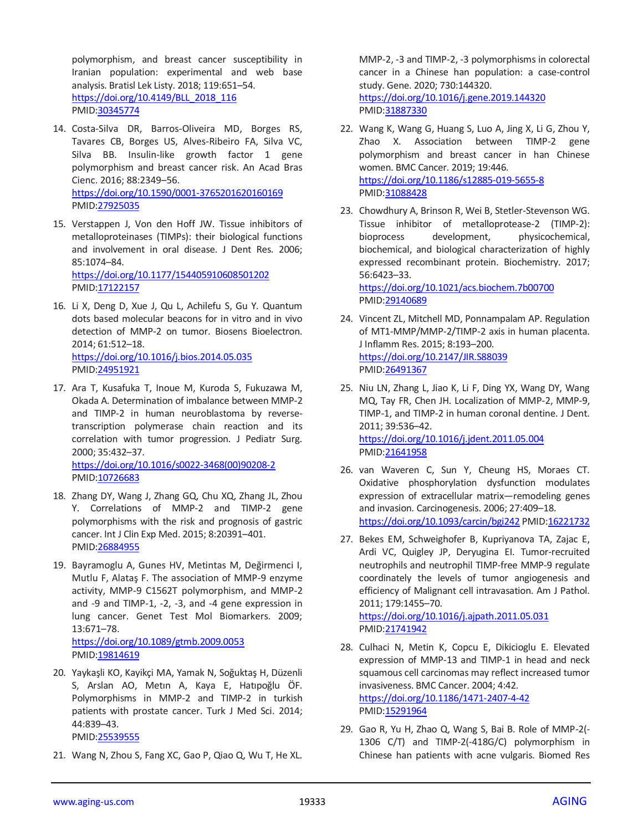polymorphism, and breast cancer susceptibility in Iranian population: experimental and web base analysis. Bratisl Lek Listy. 2018; 119:651–54. [https://doi.org/10.4149/BLL\\_2018\\_116](https://doi.org/10.4149/BLL_2018_116) PMID[:30345774](https://pubmed.ncbi.nlm.nih.gov/30345774)

- 14. Costa-Silva DR, Barros-Oliveira MD, Borges RS, Tavares CB, Borges US, Alves-Ribeiro FA, Silva VC, Silva BB. Insulin-like growth factor 1 gene polymorphism and breast cancer risk. An Acad Bras Cienc. 2016; 88:2349–56. <https://doi.org/10.1590/0001-3765201620160169> PMID[:27925035](https://pubmed.ncbi.nlm.nih.gov/27925035)
- 15. Verstappen J, Von den Hoff JW. Tissue inhibitors of metalloproteinases (TIMPs): their biological functions and involvement in oral disease. J Dent Res. 2006; 85:1074–84. <https://doi.org/10.1177/154405910608501202>

PMID[:17122157](https://pubmed.ncbi.nlm.nih.gov/17122157)

- 16. Li X, Deng D, Xue J, Qu L, Achilefu S, Gu Y. Quantum dots based molecular beacons for in vitro and in vivo detection of MMP-2 on tumor. Biosens Bioelectron. 2014; 61:512–18. <https://doi.org/10.1016/j.bios.2014.05.035> PMID[:24951921](https://pubmed.ncbi.nlm.nih.gov/24951921)
- 17. Ara T, Kusafuka T, Inoue M, Kuroda S, Fukuzawa M, Okada A. Determination of imbalance between MMP-2 and TIMP-2 in human neuroblastoma by reversetranscription polymerase chain reaction and its correlation with tumor progression. J Pediatr Surg. 2000; 35:432–37. [https://doi.org/10.1016/s0022-3468\(00\)90208-2](https://doi.org/10.1016/s0022-3468(00)90208-2) PMID[:10726683](https://pubmed.ncbi.nlm.nih.gov/10726683)
- 18. Zhang DY, Wang J, Zhang GQ, Chu XQ, Zhang JL, Zhou Y. Correlations of MMP-2 and TIMP-2 gene polymorphisms with the risk and prognosis of gastric cancer. Int J Clin Exp Med. 2015; 8:20391–401. PMID[:26884955](https://pubmed.ncbi.nlm.nih.gov/26884955)
- 19. Bayramoglu A, Gunes HV, Metintas M, Değirmenci I, Mutlu F, Alataş F. The association of MMP-9 enzyme activity, MMP-9 C1562T polymorphism, and MMP-2 and -9 and TIMP-1, -2, -3, and -4 gene expression in lung cancer. Genet Test Mol Biomarkers. 2009; 13:671–78. <https://doi.org/10.1089/gtmb.2009.0053> PMID[:19814619](https://pubmed.ncbi.nlm.nih.gov/19814619)
- 20. Yaykaşli KO, Kayikçi MA, Yamak N, Soğuktaş H, Düzenli S, Arslan AO, Metın A, Kaya E, Hatıpoğlu ÖF. Polymorphisms in MMP-2 and TIMP-2 in turkish patients with prostate cancer. Turk J Med Sci. 2014; 44:839–43. PMID[:25539555](https://pubmed.ncbi.nlm.nih.gov/25539555)
- 21. Wang N, Zhou S, Fang XC, Gao P, Qiao Q, Wu T, He XL.

MMP-2, -3 and TIMP-2, -3 polymorphisms in colorectal cancer in a Chinese han population: a case-control study. Gene. 2020; 730:144320. <https://doi.org/10.1016/j.gene.2019.144320> PMI[D:31887330](https://pubmed.ncbi.nlm.nih.gov/31887330)

- 22. Wang K, Wang G, Huang S, Luo A, Jing X, Li G, Zhou Y, Zhao X. Association between TIMP-2 gene polymorphism and breast cancer in han Chinese women. BMC Cancer. 2019; 19:446. <https://doi.org/10.1186/s12885-019-5655-8> PMI[D:31088428](https://pubmed.ncbi.nlm.nih.gov/31088428)
- 23. Chowdhury A, Brinson R, Wei B, Stetler-Stevenson WG. Tissue inhibitor of metalloprotease-2 (TIMP-2): bioprocess development, physicochemical, biochemical, and biological characterization of highly expressed recombinant protein. Biochemistry. 2017; 56:6423–33. <https://doi.org/10.1021/acs.biochem.7b00700>
	- PMI[D:29140689](https://pubmed.ncbi.nlm.nih.gov/29140689)
- 24. Vincent ZL, Mitchell MD, Ponnampalam AP. Regulation of MT1-MMP/MMP-2/TIMP-2 axis in human placenta. J Inflamm Res. 2015; 8:193–200. <https://doi.org/10.2147/JIR.S88039> PMI[D:26491367](https://pubmed.ncbi.nlm.nih.gov/26491367)
- 25. Niu LN, Zhang L, Jiao K, Li F, Ding YX, Wang DY, Wang MQ, Tay FR, Chen JH. Localization of MMP-2, MMP-9, TIMP-1, and TIMP-2 in human coronal dentine. J Dent. 2011; 39:536–42. <https://doi.org/10.1016/j.jdent.2011.05.004> PMI[D:21641958](https://pubmed.ncbi.nlm.nih.gov/21641958)
- 26. van Waveren C, Sun Y, Cheung HS, Moraes CT. Oxidative phosphorylation dysfunction modulates expression of extracellular matrix—remodeling genes and invasion. Carcinogenesis. 2006; 27:409–18. <https://doi.org/10.1093/carcin/bgi242> PMI[D:16221732](https://pubmed.ncbi.nlm.nih.gov/16221732)
- 27. Bekes EM, Schweighofer B, Kupriyanova TA, Zajac E, Ardi VC, Quigley JP, Deryugina EI. Tumor-recruited neutrophils and neutrophil TIMP-free MMP-9 regulate coordinately the levels of tumor angiogenesis and efficiency of Malignant cell intravasation. Am J Pathol. 2011; 179:1455–70.

<https://doi.org/10.1016/j.ajpath.2011.05.031> PMI[D:21741942](https://pubmed.ncbi.nlm.nih.gov/21741942)

- 28. Culhaci N, Metin K, Copcu E, Dikicioglu E. Elevated expression of MMP-13 and TIMP-1 in head and neck squamous cell carcinomas may reflect increased tumor invasiveness. BMC Cancer. 2004; 4:42. <https://doi.org/10.1186/1471-2407-4-42> PMID: 15291964
- 29. Gao R, Yu H, Zhao Q, Wang S, Bai B. Role of MMP-2(- 1306 C/T) and TIMP-2(-418G/C) polymorphism in Chinese han patients with acne vulgaris. Biomed Res